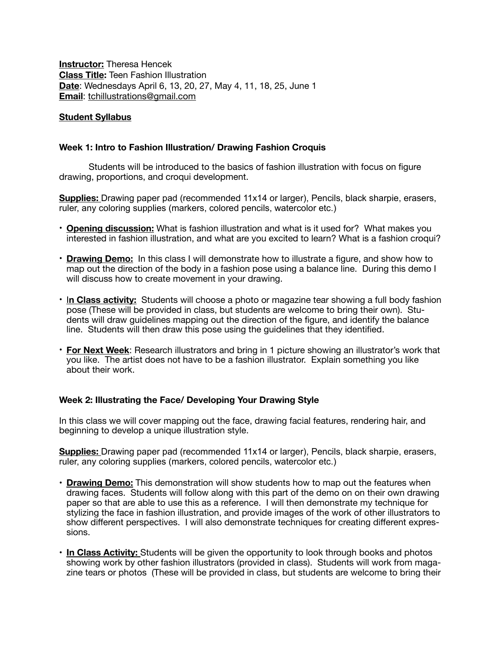**Instructor:** Theresa Hencek **Class Title:** Teen Fashion Illustration **Date**: Wednesdays April 6, 13, 20, 27, May 4, 11, 18, 25, June 1 **Email**: [tchillustrations@gmail.com](mailto:tchillustrations@gmail.com)

## **Student Syllabus**

## **Week 1: Intro to Fashion Illustration/ Drawing Fashion Croquis**

Students will be introduced to the basics of fashion illustration with focus on figure drawing, proportions, and croqui development.

**Supplies:** Drawing paper pad (recommended 11x14 or larger), Pencils, black sharpie, erasers, ruler, any coloring supplies (markers, colored pencils, watercolor etc.)

- **Opening discussion:** What is fashion illustration and what is it used for? What makes you interested in fashion illustration, and what are you excited to learn? What is a fashion croqui?
- **Drawing Demo:** In this class I will demonstrate how to illustrate a figure, and show how to map out the direction of the body in a fashion pose using a balance line. During this demo I will discuss how to create movement in your drawing.
- I**n Class activity:** Students will choose a photo or magazine tear showing a full body fashion pose (These will be provided in class, but students are welcome to bring their own). Students will draw guidelines mapping out the direction of the figure, and identify the balance line. Students will then draw this pose using the guidelines that they identified.
- **For Next Week**: Research illustrators and bring in 1 picture showing an illustrator's work that you like. The artist does not have to be a fashion illustrator. Explain something you like about their work.

# **Week 2: Illustrating the Face/ Developing Your Drawing Style**

In this class we will cover mapping out the face, drawing facial features, rendering hair, and beginning to develop a unique illustration style.

**Supplies:** Drawing paper pad (recommended 11x14 or larger), Pencils, black sharpie, erasers, ruler, any coloring supplies (markers, colored pencils, watercolor etc.)

- **Drawing Demo:** This demonstration will show students how to map out the features when drawing faces. Students will follow along with this part of the demo on on their own drawing paper so that are able to use this as a reference. I will then demonstrate my technique for stylizing the face in fashion illustration, and provide images of the work of other illustrators to show different perspectives. I will also demonstrate techniques for creating different expressions.
- **In Class Activity:** Students will be given the opportunity to look through books and photos showing work by other fashion illustrators (provided in class). Students will work from magazine tears or photos (These will be provided in class, but students are welcome to bring their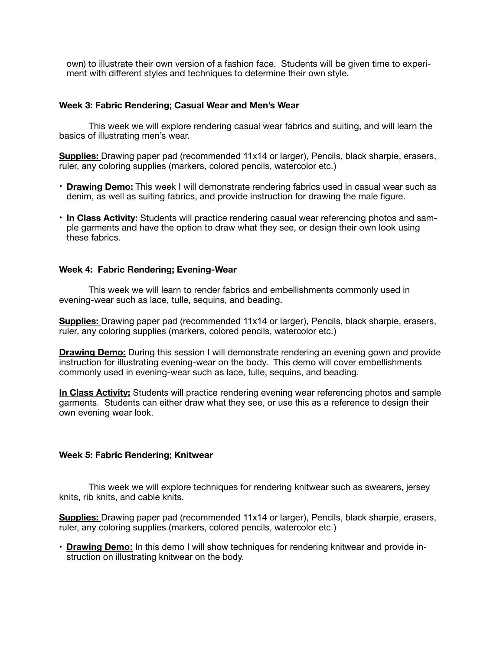own) to illustrate their own version of a fashion face. Students will be given time to experiment with different styles and techniques to determine their own style.

## **Week 3: Fabric Rendering; Casual Wear and Men's Wear**

This week we will explore rendering casual wear fabrics and suiting, and will learn the basics of illustrating men's wear.

**Supplies:** Drawing paper pad (recommended 11x14 or larger), Pencils, black sharpie, erasers, ruler, any coloring supplies (markers, colored pencils, watercolor etc.)

- **Drawing Demo:** This week I will demonstrate rendering fabrics used in casual wear such as denim, as well as suiting fabrics, and provide instruction for drawing the male figure.
- **In Class Activity:** Students will practice rendering casual wear referencing photos and sample garments and have the option to draw what they see, or design their own look using these fabrics.

### **Week 4: Fabric Rendering; Evening-Wear**

This week we will learn to render fabrics and embellishments commonly used in evening-wear such as lace, tulle, sequins, and beading.

**Supplies:** Drawing paper pad (recommended 11x14 or larger), Pencils, black sharpie, erasers, ruler, any coloring supplies (markers, colored pencils, watercolor etc.)

**Drawing Demo:** During this session I will demonstrate rendering an evening gown and provide instruction for illustrating evening-wear on the body. This demo will cover embellishments commonly used in evening-wear such as lace, tulle, sequins, and beading.

**In Class Activity:** Students will practice rendering evening wear referencing photos and sample garments. Students can either draw what they see, or use this as a reference to design their own evening wear look.

#### **Week 5: Fabric Rendering; Knitwear**

This week we will explore techniques for rendering knitwear such as swearers, jersey knits, rib knits, and cable knits.

**Supplies:** Drawing paper pad (recommended 11x14 or larger), Pencils, black sharpie, erasers, ruler, any coloring supplies (markers, colored pencils, watercolor etc.)

• **Drawing Demo:** In this demo I will show techniques for rendering knitwear and provide instruction on illustrating knitwear on the body.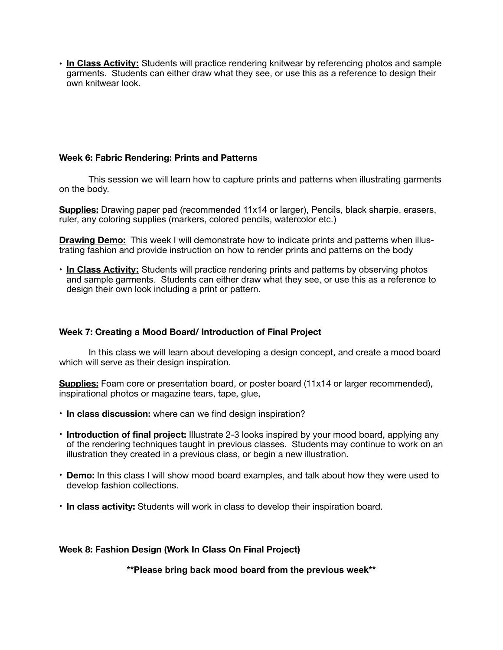• **In Class Activity:** Students will practice rendering knitwear by referencing photos and sample garments. Students can either draw what they see, or use this as a reference to design their own knitwear look.

# **Week 6: Fabric Rendering: Prints and Patterns**

This session we will learn how to capture prints and patterns when illustrating garments on the body.

**Supplies:** Drawing paper pad (recommended 11x14 or larger), Pencils, black sharpie, erasers, ruler, any coloring supplies (markers, colored pencils, watercolor etc.)

**Drawing Demo:** This week I will demonstrate how to indicate prints and patterns when illustrating fashion and provide instruction on how to render prints and patterns on the body

• **In Class Activity:** Students will practice rendering prints and patterns by observing photos and sample garments. Students can either draw what they see, or use this as a reference to design their own look including a print or pattern.

# **Week 7: Creating a Mood Board/ Introduction of Final Project**

In this class we will learn about developing a design concept, and create a mood board which will serve as their design inspiration.

**Supplies:** Foam core or presentation board, or poster board (11x14 or larger recommended), inspirational photos or magazine tears, tape, glue,

- **In class discussion:** where can we find design inspiration?
- **Introduction of final project:** Illustrate 2-3 looks inspired by your mood board, applying any of the rendering techniques taught in previous classes. Students may continue to work on an illustration they created in a previous class, or begin a new illustration.
- **Demo:** In this class I will show mood board examples, and talk about how they were used to develop fashion collections.
- **In class activity:** Students will work in class to develop their inspiration board.

## **Week 8: Fashion Design (Work In Class On Final Project)**

**\*\*Please bring back mood board from the previous week\*\***